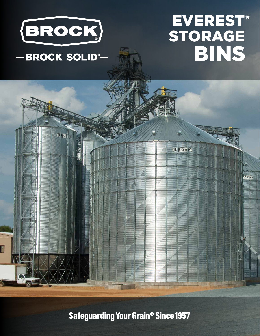

# EVEREST® -BROCK SOLID<sup>®</sup>- BINS

BROC BROCK OCK

**Safeguarding Your Grain<sup>®</sup> Since 1957**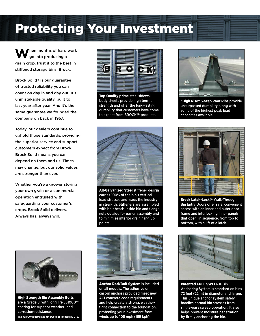### Protecting Your Investment

**W**hen months of hard work go into producing a grain crop, trust it to the best in stiffened storage bins: Brock.

Brock Solid® is our guarantee of trusted reliability you can count on day in and day out. It's unmistakable quality, built to last year after year. And it's the same guarantee we founded the company on back in 1957.

Today, our dealers continue to uphold those standards, providing the superior service and support customers expect from Brock. Brock Solid means you can depend on them and us. Times may change, but our solid values are stronger than ever.

Whether you're a grower storing your own grain or a commercial operation entrusted with safeguarding your customer's crops. Brock Solid delivers. Always has, always will.



Top Quality prime steel sidewall body sheets provide high tensile strength and offer the long-lasting durability that customers have come to expect from BROCK® products.



All-Galvanized Steel stiffener design carries 100% of the bin's vertical load stresses and leads the industry in strength. Stiffeners are assembled with bolt heads inside bin and flange nuts outside for easier assembly and to minimize interior grain hang up points.



High Strength Bin Assembly Bolts are a Grade 8, with long life JS1000™ coating for superior weather- and corrosion-resistance. **The JS1000 trademark is not owned or licensed by CTB.**



Anchor Rod/Bolt System is included on all models. The adhesive or cast-in anchors provided meet new ACI concrete code requirements and help create a strong, weathertight connection to the foundation, protecting your investment from winds up to 105 mph (169 kph).



"High Rise" 3-Step Roof Ribs provide unsurpassed durability along with some of the highest peak load capacities available.



Brock Latch-Lock® Walk-Through Bin Entry Doors offer safe, convenient access with an inner and outer door frame and interlocking inner panels that open, in sequence, from top to bottom, with a lift of a latch.



Patented FULL SWEEP® Bin Anchoring System is standard on bins 72 feet (22 m) in diameter and larger. This unique anchor system safely handles normal bin stresses from single-pass sweep operation. It also helps prevent moisture penetration by firmly anchoring the bin.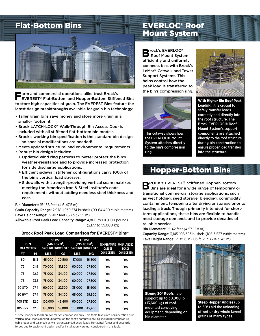

**F**arm and commercial operations alike trust Brock's EVEREST® Flat-Bottom and Hopper-Bottom Stiffened Bins to store high capacities of grain. The EVEREST Bins feature the latest design breakthroughs available for grain bin technology:

- Taller grain bins save money and store more grain in a smaller footprint.
- Brock LATCH-LOCK® Walk-Through Bin Access Door is included with all stiffened flat-bottom bin models.
- Brock's working bin specification is the standard bin design – no special modifications are needed!
- Meets updated structural and environmental requirements.
- Robust bin design includes:
- + Updated wind ring patterns to better protect the bin's weather-resistance and to provide increased protection for side discharge applications.
- + Efficient sidewall stiffener configurations carry 100% of the bin's vertical load stresses.
- + Sidewalls with strength-providing vertical seam matrixes meeting the American Iron & Steel Institute's code requirements without adding needless steel thickness and cost.

#### Bin Diameters: 15-156 feet (4.6-47.5 m)

Grain Capacity Range: 2,978-1,939,574 bushels (99-64,480 cubic meters) Eave Height Range: 19-107 feet (5.73-32.55 m)

Allowable Roof Peak Load Capacity Range: 4,800 to 130,000 pounds (2,177 to 59,000 kg)

### **Brock Roof Peak Load Comparison for EVEREST® Bins\***

| <b>BIN</b><br><b>DIAMETER</b> |      | <b>30 PSF</b><br>[146 KG/M <sup>2</sup> ] |        | 40 PSF<br>[195 KG/M <sup>2</sup> ]<br><b>GROUND SNOW LOAD GROUND SNOW LOAD</b> |        | <b>TEMPERATURE</b><br><b>CABLES</b> | UNBALANCED<br><b>LOADS</b> |
|-------------------------------|------|-------------------------------------------|--------|--------------------------------------------------------------------------------|--------|-------------------------------------|----------------------------|
| FT                            | М    | <b>LBS</b>                                | ΚG     | <b>LBS</b>                                                                     | KG     | <b>CONSIDERED</b>                   | <b>CONSIDERED</b>          |
| 60                            | 18.3 | 45,000                                    | 20,500 | 37,000                                                                         | 16,800 | Yes                                 | Yes                        |
| 72                            | 21.9 | 70,000                                    | 31,800 | 60,000                                                                         | 27,300 | Yes                                 | Yes                        |
| 75                            | 22.9 | 75,000                                    | 34,100 | 60,000                                                                         | 27,300 | Yes                                 | Yes                        |
| 78                            | 23.8 | 75,000                                    | 34,100 | 60,000                                                                         | 27,300 | Yes                                 | Yes                        |
| <b>90 STD</b>                 | 27.4 | 60,000                                    | 27,300 | 35,000                                                                         | 15,900 | Yes                                 | Yes                        |
| <b>90 HVY</b>                 | 27.4 | 75,000                                    | 34,100 | 65,000                                                                         | 29,500 | Yes                                 | Yes                        |
| 105 STD                       | 32.0 | 100,000                                   | 45,400 | 60,000                                                                         | 27,300 | Yes                                 | Yes                        |
| <b>105 HVY</b>                | 32.0 | 130,000                                   | 59,000 | 100,000                                                                        | 45,400 | Yes                                 | Yes                        |

\*These roof peak loads are for market comparison only. This table takes into consideration pure bin diameter. vertical peak loads applied uniformly on the roof's compression ring including temperature cable loads and balanced as well as unbalanced snow loads. Horizontal forces and eccentric forces due to equipment design and/or installation were not considered in this table.

### EVERLOC® Roof Mount System

**B** rock's EVERLOC<sup>®</sup><br>Roof Mount System efficiently and uniformly connects bins with Brock's LeMar® Catwalk and Tower Support Systems. This helps control how the peak load is transferred to the bin's compression ring.





This cutaway shows how the EVERLOC® Mount System attaches directly to the bin's compression ring.



### Hopper-Bottom Bins

**BROCK's EVEREST® Stiffened Hopper-Bottom**<br>
Bins are ideal for a wide range of temporary or transitional commercial storage applications, such as wet holding, seed storage, blending, commodity containment, tempering after drying or storage prior to loading a truck. Though primarily intended for shortterm applications, these bins are flexible to handle most storage demands and to provide decades of reliable service.

Bin Diameters: 15-42 feet (4.57-12.8 m)

Capacity Range: 3,145-106,383 bushels (105-3,537 cubic meters) Eave Height Range: 25 ft. 6 in.-103 ft. 2 in. (7.8-31.45 m)



Strong 30° Roofs help support up to 30,000 lb. (13,600 kg) of roofmounted conveying equipment, depending on



Steep Hopper Angles (up to 60°) aid the unloading of wet or dry whole kernel grains of many types.